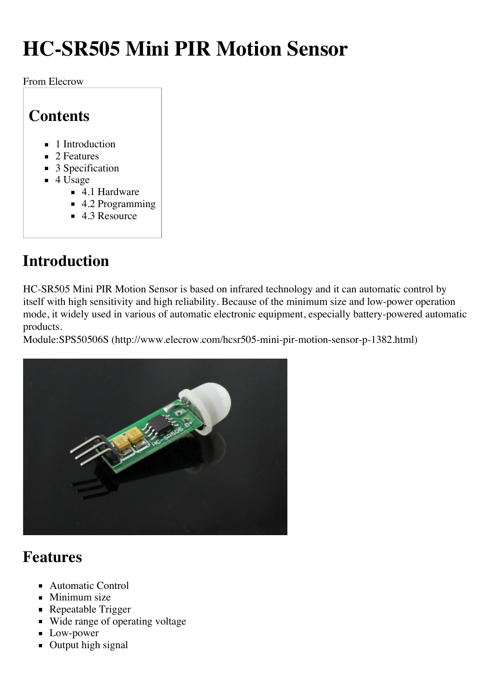# **HC-SR505 Mini PIR Motion Sensor**

From Elecrow

#### **Contents**

- 1 Introduction
- 2 Features
- $\blacksquare$  3 Specification
- $\blacksquare$  4 Usage
	- 4.1 Hardware
	- 4.2 Programming
	- $\blacksquare$  4.3 Resource

## **Introduction**

HC-SR505 Mini PIR Motion Sensor is based on infrared technology and it can automatic control by itself with high sensitivity and high reliability. Because of the minimum size and low-power operation mode, it widely used in various of automatic electronic equipment, especially battery-powered automatic products.

Module:SPS50506S (http://www.elecrow.com/hcsr505-mini-pir-motion-sensor-p-1382.html)



### **Features**

- Automatic Control
- $\blacksquare$  Minimum size
- Repeatable Trigger
- Wide range of operating voltage
- **Low-power**
- **Output high signal**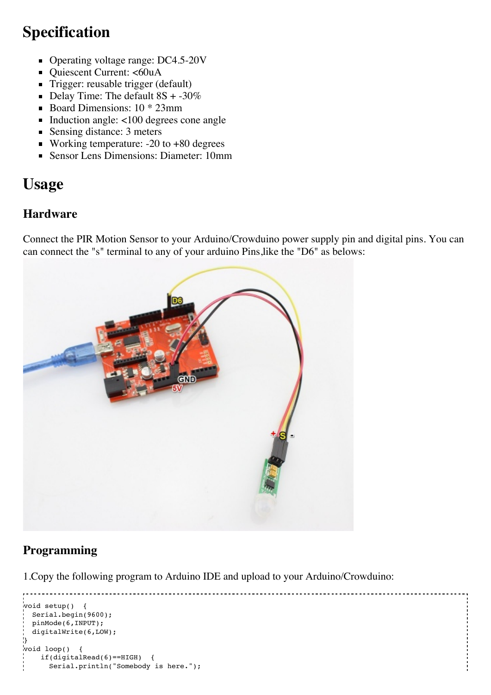### **Specification**

- Operating voltage range: DC4.5-20V
- Quiescent Current: <60uA
- Trigger: reusable trigger (default)
- Delay Time: The default  $8S + -30\%$
- Board Dimensions:  $10 * 23$ mm
- Induction angle: <100 degrees cone angle
- Sensing distance: 3 meters
- Working temperature: -20 to +80 degrees
- Sensor Lens Dimensions: Diameter: 10mm

### **Usage**

#### **Hardware**

Connect the PIR Motion Sensor to your Arduino/Crowduino power supply pin and digital pins. You can can connect the "s" terminal to any of your arduino Pins,like the "D6" as belows:



#### **Programming**

1.Copy the following program to Arduino IDE and upload to your Arduino/Crowduino:

```
void setup() {
 Serial.begin(9600);
 pinMode(6,INPUT);
 digitalWrite(6,LOW);
}
void loop() {
    if(digitalRead(6)==HIGH) {
     Serial.println("Somebody is here.");
```